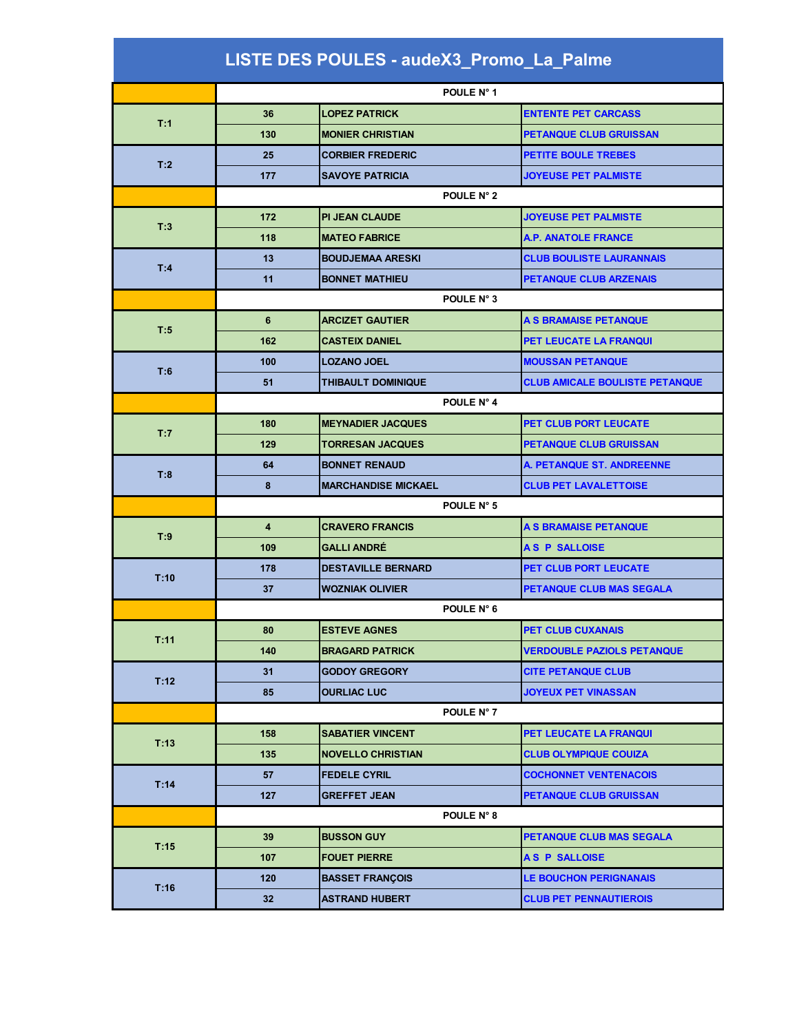## **LISTE DES POULES - audeX3\_Promo\_La\_Palme**

|      | POULE N° 1 |                            |                                       |  |
|------|------------|----------------------------|---------------------------------------|--|
|      | 36         | <b>LOPEZ PATRICK</b>       | <b>ENTENTE PET CARCASS</b>            |  |
| T:1  | 130        | <b>MONIER CHRISTIAN</b>    | <b>PETANQUE CLUB GRUISSAN</b>         |  |
|      | 25         | <b>CORBIER FREDERIC</b>    | <b>PETITE BOULE TREBES</b>            |  |
| T:2  | 177        | <b>SAVOYE PATRICIA</b>     | <b>JOYEUSE PET PALMISTE</b>           |  |
|      |            | POULE N° 2                 |                                       |  |
|      | 172        | <b>PI JEAN CLAUDE</b>      | <b>JOYEUSE PET PALMISTE</b>           |  |
| T:3  | 118        | <b>MATEO FABRICE</b>       | <b>A.P. ANATOLE FRANCE</b>            |  |
|      | 13         | <b>BOUDJEMAA ARESKI</b>    | <b>CLUB BOULISTE LAURANNAIS</b>       |  |
| T:4  | 11         | <b>BONNET MATHIEU</b>      | <b>PETANQUE CLUB ARZENAIS</b>         |  |
|      |            | POULE N° 3                 |                                       |  |
|      | 6          | <b>ARCIZET GAUTIER</b>     | A S BRAMAISE PETANQUE                 |  |
| T:5  | 162        | <b>CASTEIX DANIEL</b>      | <b>PET LEUCATE LA FRANQUI</b>         |  |
|      | 100        | <b>LOZANO JOEL</b>         | <b>MOUSSAN PETANQUE</b>               |  |
| T:6  | 51         | THIBAULT DOMINIQUE         | <b>CLUB AMICALE BOULISTE PETANQUE</b> |  |
|      |            | POULE N° 4                 |                                       |  |
|      | 180        | <b>MEYNADIER JACQUES</b>   | PET CLUB PORT LEUCATE                 |  |
| T:7  | 129        | <b>TORRESAN JACQUES</b>    | <b>PETANQUE CLUB GRUISSAN</b>         |  |
|      | 64         | <b>BONNET RENAUD</b>       | A. PETANQUE ST. ANDREENNE             |  |
| T:8  | 8          | <b>MARCHANDISE MICKAEL</b> | <b>CLUB PET LAVALETTOISE</b>          |  |
|      | POULE N° 5 |                            |                                       |  |
| T:9  | 4          | <b>CRAVERO FRANCIS</b>     | A S BRAMAISE PETANQUE                 |  |
|      | 109        | <b>GALLI ANDRÉ</b>         | <b>AS P SALLOISE</b>                  |  |
| T:10 | 178        | <b>DESTAVILLE BERNARD</b>  | PET CLUB PORT LEUCATE                 |  |
|      | 37         | <b>WOZNIAK OLIVIER</b>     | PETANQUE CLUB MAS SEGALA              |  |
|      |            | POULE N° 6                 |                                       |  |
| T:11 | 80         | <b>ESTEVE AGNES</b>        | <b>PET CLUB CUXANAIS</b>              |  |
|      | 140        | <b>BRAGARD PATRICK</b>     | <b>VERDOUBLE PAZIOLS PETANQUE</b>     |  |
| T:12 | 31         | <b>GODOY GREGORY</b>       | <b>CITE PETANQUE CLUB</b>             |  |
|      | 85         | <b>OURLIAC LUC</b>         | <b>JOYEUX PET VINASSAN</b>            |  |
|      | POULE N° 7 |                            |                                       |  |
| T:13 | 158        | <b>SABATIER VINCENT</b>    | <b>PET LEUCATE LA FRANQUI</b>         |  |
|      | 135        | <b>NOVELLO CHRISTIAN</b>   | <b>CLUB OLYMPIQUE COUIZA</b>          |  |
| T:14 | 57         | <b>FEDELE CYRIL</b>        | <b>COCHONNET VENTENACOIS</b>          |  |
|      | 127        | <b>GREFFET JEAN</b>        | <b>PETANQUE CLUB GRUISSAN</b>         |  |
|      | POULE N° 8 |                            |                                       |  |
| T:15 | 39         | <b>BUSSON GUY</b>          | PETANQUE CLUB MAS SEGALA              |  |
|      | 107        | <b>FOUET PIERRE</b>        | A S P SALLOISE                        |  |
|      |            |                            |                                       |  |
| T:16 | 120        | <b>BASSET FRANÇOIS</b>     | <b>LE BOUCHON PERIGNANAIS</b>         |  |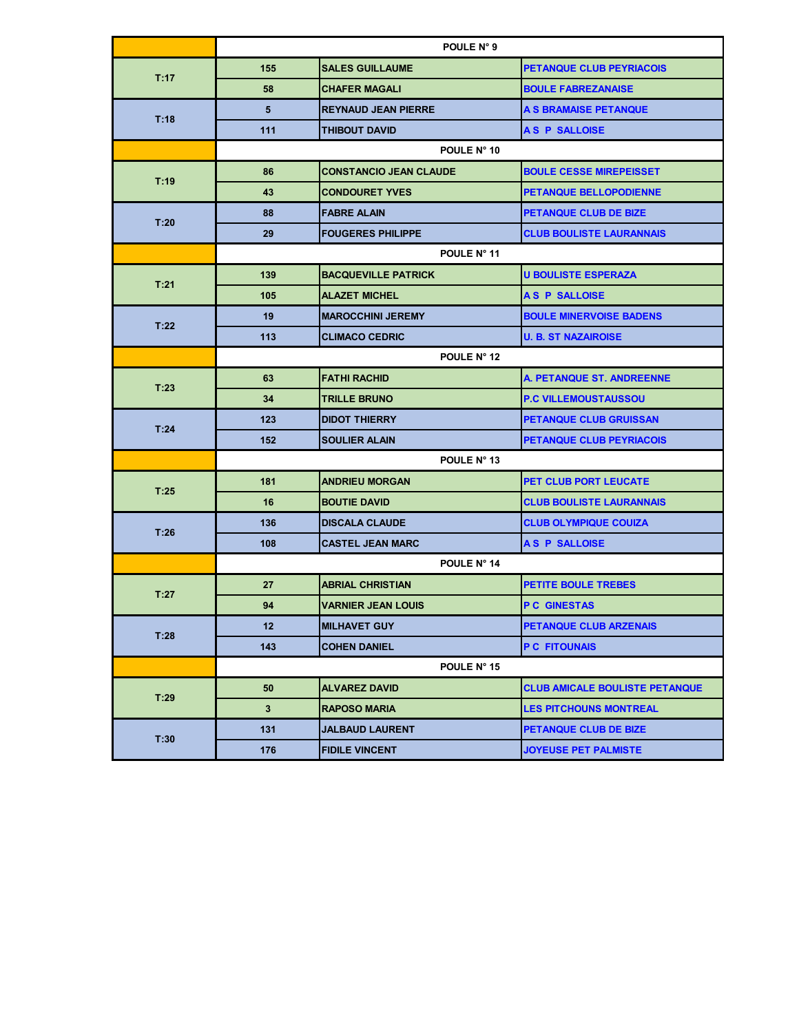|      | POULE N° 9  |                               |                                       |
|------|-------------|-------------------------------|---------------------------------------|
| T:17 | 155         | <b>SALES GUILLAUME</b>        | <b>PETANQUE CLUB PEYRIACOIS</b>       |
|      | 58          | <b>CHAFER MAGALI</b>          | <b>BOULE FABREZANAISE</b>             |
| T:18 | 5           | <b>REYNAUD JEAN PIERRE</b>    | A S BRAMAISE PETANQUE                 |
|      | 111         | <b>THIBOUT DAVID</b>          | <b>AS P SALLOISE</b>                  |
|      |             | POULE N° 10                   |                                       |
|      | 86          | <b>CONSTANCIO JEAN CLAUDE</b> | <b>BOULE CESSE MIREPEISSET</b>        |
| T:19 | 43          | <b>CONDOURET YVES</b>         | <b>PETANQUE BELLOPODIENNE</b>         |
|      | 88          | <b>FABRE ALAIN</b>            | <b>PETANQUE CLUB DE BIZE</b>          |
| T:20 | 29          | <b>FOUGERES PHILIPPE</b>      | <b>CLUB BOULISTE LAURANNAIS</b>       |
|      |             | POULE N° 11                   |                                       |
| T:21 | 139         | <b>BACQUEVILLE PATRICK</b>    | <b>U BOULISTE ESPERAZA</b>            |
|      | 105         | <b>ALAZET MICHEL</b>          | <b>AS P SALLOISE</b>                  |
| T:22 | 19          | <b>IMAROCCHINI JEREMY</b>     | <b>BOULE MINERVOISE BADENS</b>        |
|      | 113         | <b>CLIMACO CEDRIC</b>         | <b>U. B. ST NAZAIROISE</b>            |
|      | POULE N° 12 |                               |                                       |
| T:23 | 63          | <b>FATHI RACHID</b>           | A. PETANQUE ST. ANDREENNE             |
|      | 34          | <b>TRILLE BRUNO</b>           | <b>P.C VILLEMOUSTAUSSOU</b>           |
| T:24 | 123         | <b>DIDOT THIERRY</b>          | <b>PETANQUE CLUB GRUISSAN</b>         |
|      | 152         | <b>SOULIER ALAIN</b>          | <b>PETANQUE CLUB PEYRIACOIS</b>       |
|      | POULE N° 13 |                               |                                       |
| T:25 | 181         | <b>ANDRIEU MORGAN</b>         | PET CLUB PORT LEUCATE                 |
|      | 16          | <b>BOUTIE DAVID</b>           | <b>CLUB BOULISTE LAURANNAIS</b>       |
|      | 136         | <b>DISCALA CLAUDE</b>         | <b>CLUB OLYMPIQUE COUIZA</b>          |
| T:26 | 108         | <b>CASTEL JEAN MARC</b>       | A S P SALLOISE                        |
|      | POULE N° 14 |                               |                                       |
| T:27 | 27          | <b>ABRIAL CHRISTIAN</b>       | <b>PETITE BOULE TREBES</b>            |
|      | 94          | <b>VARNIER JEAN LOUIS</b>     | <b>PC GINESTAS</b>                    |
| T:28 | 12          | <b>MILHAVET GUY</b>           | <b>PETANQUE CLUB ARZENAIS</b>         |
|      | 143         | <b>COHEN DANIEL</b>           | <b>P C FITOUNAIS</b>                  |
|      | POULE N° 15 |                               |                                       |
| T:29 | 50          | <b>ALVAREZ DAVID</b>          | <b>CLUB AMICALE BOULISTE PETANQUE</b> |
|      | 3           | <b>RAPOSO MARIA</b>           | <b>LES PITCHOUNS MONTREAL</b>         |
| T:30 | 131         | <b>JALBAUD LAURENT</b>        | <b>PETANQUE CLUB DE BIZE</b>          |
|      | 176         | <b>FIDILE VINCENT</b>         | <b>JOYEUSE PET PALMISTE</b>           |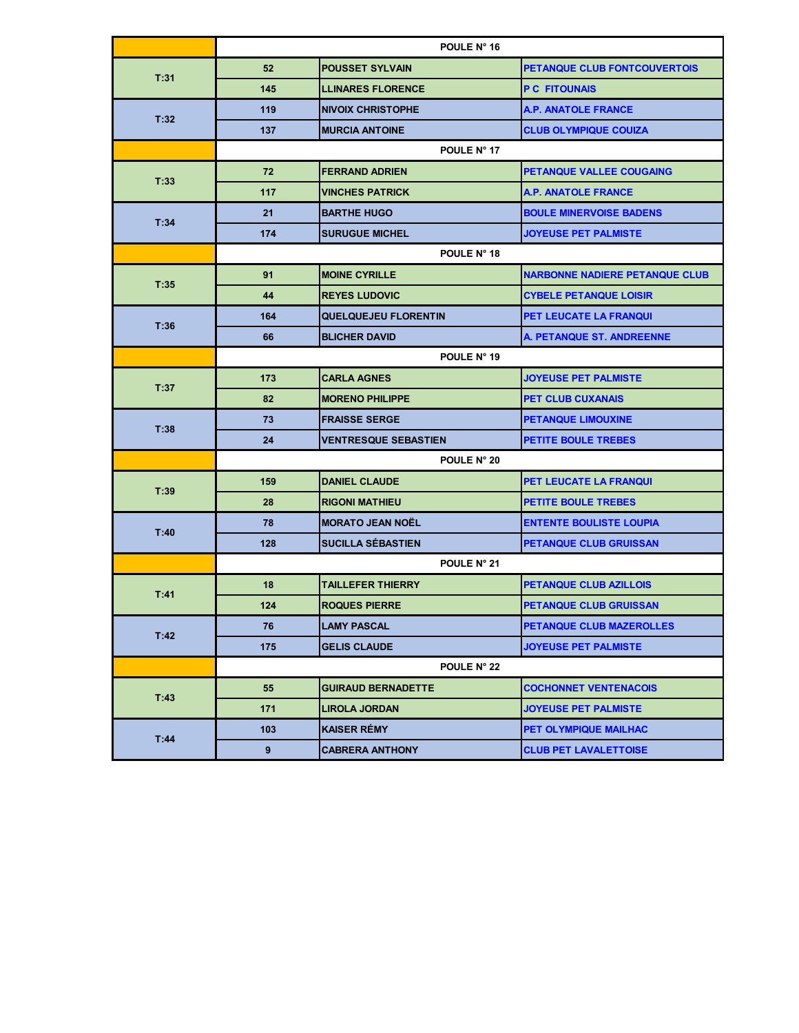|      | POULE N° 16 |                             |                                       |
|------|-------------|-----------------------------|---------------------------------------|
| T:31 | 52          | <b>POUSSET SYLVAIN</b>      | PETANQUE CLUB FONTCOUVERTOIS          |
|      | 145         | <b>LLINARES FLORENCE</b>    | <b>P C FITOUNAIS</b>                  |
| T:32 | 119         | <b>NIVOIX CHRISTOPHE</b>    | <b>A.P. ANATOLE FRANCE</b>            |
|      | 137         | <b>MURCIA ANTOINE</b>       | <b>CLUB OLYMPIQUE COUIZA</b>          |
|      |             | POULE N° 17                 |                                       |
| T:33 | 72          | <b>FERRAND ADRIEN</b>       | PETANQUE VALLEE COUGAING              |
|      | 117         | <b>VINCHES PATRICK</b>      | <b>A.P. ANATOLE FRANCE</b>            |
|      | 21          | <b>BARTHE HUGO</b>          | <b>BOULE MINERVOISE BADENS</b>        |
| T:34 | 174         | <b>SURUGUE MICHEL</b>       | <b>JOYEUSE PET PALMISTE</b>           |
|      |             | POULE N° 18                 |                                       |
| T:35 | 91          | <b>MOINE CYRILLE</b>        | <b>NARBONNE NADIERE PETANQUE CLUB</b> |
|      | 44          | <b>REYES LUDOVIC</b>        | <b>CYBELE PETANQUE LOISIR</b>         |
| T:36 | 164         | <b>QUELQUEJEU FLORENTIN</b> | PET LEUCATE LA FRANQUI                |
|      | 66          | <b>BLICHER DAVID</b>        | A. PETANQUE ST. ANDREENNE             |
|      | POULE N° 19 |                             |                                       |
| T:37 | 173         | <b>CARLA AGNES</b>          | <b>JOYEUSE PET PALMISTE</b>           |
|      | 82          | <b>MORENO PHILIPPE</b>      | <b>PET CLUB CUXANAIS</b>              |
| T:38 | 73          | <b>FRAISSE SERGE</b>        | <b>PETANQUE LIMOUXINE</b>             |
|      | 24          | <b>VENTRESQUE SEBASTIEN</b> | <b>PETITE BOULE TREBES</b>            |
|      | POULE N° 20 |                             |                                       |
| T:39 | 159         | <b>DANIEL CLAUDE</b>        | PET LEUCATE LA FRANQUI                |
|      | 28          | <b>RIGONI MATHIEU</b>       | <b>PETITE BOULE TREBES</b>            |
|      | 78          | <b>MORATO JEAN NOËL</b>     | <b>ENTENTE BOULISTE LOUPIA</b>        |
| T:40 | 128         | <b>SUCILLA SÉBASTIEN</b>    | <b>PETANQUE CLUB GRUISSAN</b>         |
|      | POULE N° 21 |                             |                                       |
| T:41 | 18          | <b>TAILLEFER THIERRY</b>    | <b>PETANQUE CLUB AZILLOIS</b>         |
|      | 124         | <b>ROQUES PIERRE</b>        | <b>PETANQUE CLUB GRUISSAN</b>         |
| T:42 | 76          | <b>LAMY PASCAL</b>          | <b>PETANQUE CLUB MAZEROLLES</b>       |
|      | 175         | <b>GELIS CLAUDE</b>         | <b>JOYEUSE PET PALMISTE</b>           |
|      | POULE N° 22 |                             |                                       |
| T:43 | 55          | <b>GUIRAUD BERNADETTE</b>   | <b>COCHONNET VENTENACOIS</b>          |
|      | 171         | <b>LIROLA JORDAN</b>        | <b>JOYEUSE PET PALMISTE</b>           |
| T:44 | 103         | <b>KAISER RÉMY</b>          | PET OLYMPIQUE MAILHAC                 |
|      | 9           | <b>CABRERA ANTHONY</b>      | <b>CLUB PET LAVALETTOISE</b>          |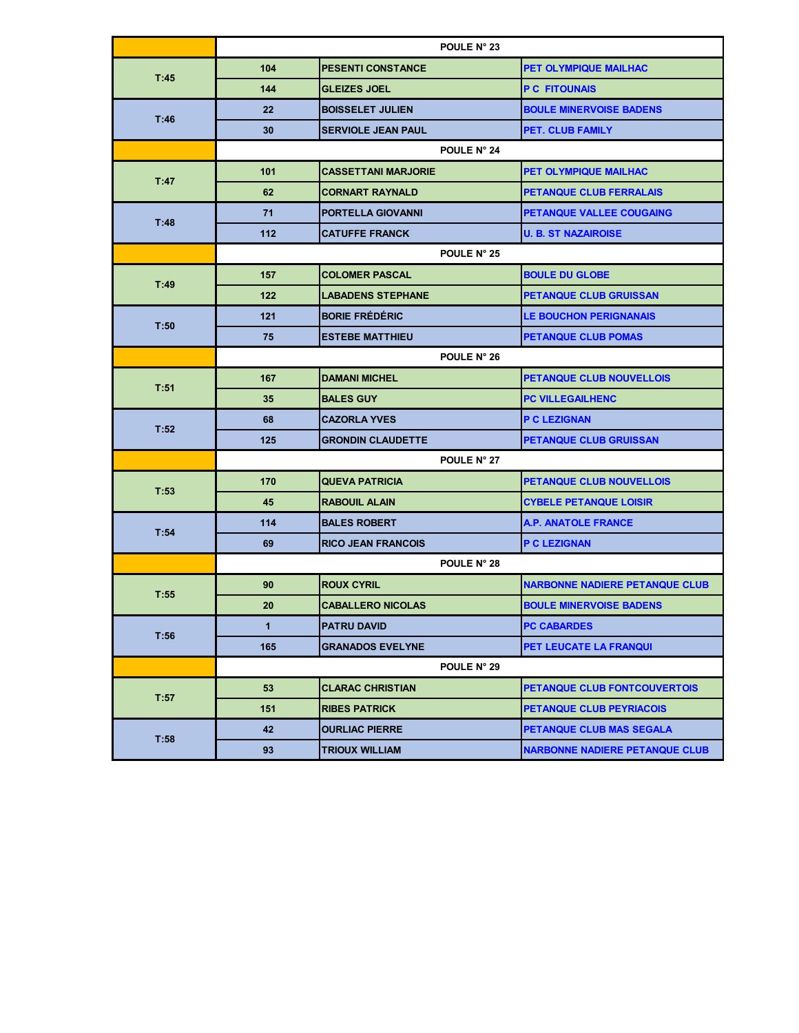|      | POULE N° 23 |                            |                                       |
|------|-------------|----------------------------|---------------------------------------|
| T:45 | 104         | <b>PESENTI CONSTANCE</b>   | PET OLYMPIQUE MAILHAC                 |
|      | 144         | <b>GLEIZES JOEL</b>        | <b>P C FITOUNAIS</b>                  |
| T:46 | 22          | <b>BOISSELET JULIEN</b>    | <b>BOULE MINERVOISE BADENS</b>        |
|      | 30          | <b>SERVIOLE JEAN PAUL</b>  | <b>PET. CLUB FAMILY</b>               |
|      |             | POULE N° 24                |                                       |
| T:47 | 101         | <b>CASSETTANI MARJORIE</b> | <b>PET OLYMPIQUE MAILHAC</b>          |
|      | 62          | <b>CORNART RAYNALD</b>     | <b>PETANQUE CLUB FERRALAIS</b>        |
| T:48 | 71          | <b>PORTELLA GIOVANNI</b>   | PETANQUE VALLEE COUGAING              |
|      | 112         | <b>CATUFFE FRANCK</b>      | <b>U. B. ST NAZAIROISE</b>            |
|      |             | POULE N° 25                |                                       |
| T:49 | 157         | <b>COLOMER PASCAL</b>      | <b>BOULE DU GLOBE</b>                 |
|      | 122         | <b>LABADENS STEPHANE</b>   | <b>PETANQUE CLUB GRUISSAN</b>         |
| T:50 | 121         | <b>BORIE FRÉDÉRIC</b>      | <b>LE BOUCHON PERIGNANAIS</b>         |
|      | 75          | <b>ESTEBE MATTHIEU</b>     | <b>PETANQUE CLUB POMAS</b>            |
|      | POULE N° 26 |                            |                                       |
| T:51 | 167         | <b>DAMANI MICHEL</b>       | <b>PETANQUE CLUB NOUVELLOIS</b>       |
|      | 35          | <b>BALES GUY</b>           | <b>PC VILLEGAILHENC</b>               |
| T:52 | 68          | <b>CAZORLA YVES</b>        | P C LEZIGNAN                          |
|      | 125         | <b>GRONDIN CLAUDETTE</b>   | <b>PETANQUE CLUB GRUISSAN</b>         |
|      | POULE N° 27 |                            |                                       |
| T:53 | 170         | <b>QUEVA PATRICIA</b>      | <b>PETANQUE CLUB NOUVELLOIS</b>       |
|      | 45          | <b>RABOUIL ALAIN</b>       | <b>CYBELE PETANQUE LOISIR</b>         |
|      | 114         | <b>BALES ROBERT</b>        | <b>A.P. ANATOLE FRANCE</b>            |
| T:54 | 69          | <b>RICO JEAN FRANCOIS</b>  | <b>P C LEZIGNAN</b>                   |
|      | POULE N° 28 |                            |                                       |
| T:55 | 90          | <b>ROUX CYRIL</b>          | <b>NARBONNE NADIERE PETANQUE CLUB</b> |
|      | 20          | <b>CABALLERO NICOLAS</b>   | <b>BOULE MINERVOISE BADENS</b>        |
| T:56 | 1           | <b>PATRU DAVID</b>         | <b>PC CABARDES</b>                    |
|      | 165         | <b>GRANADOS EVELYNE</b>    | PET LEUCATE LA FRANQUI                |
|      | POULE N° 29 |                            |                                       |
| T:57 | 53          | <b>CLARAC CHRISTIAN</b>    | PETANQUE CLUB FONTCOUVERTOIS          |
|      | 151         | <b>RIBES PATRICK</b>       | <b>PETANQUE CLUB PEYRIACOIS</b>       |
| T:58 | 42          | <b>OURLIAC PIERRE</b>      | <b>PETANQUE CLUB MAS SEGALA</b>       |
|      | 93          | <b>TRIOUX WILLIAM</b>      | <b>NARBONNE NADIERE PETANQUE CLUB</b> |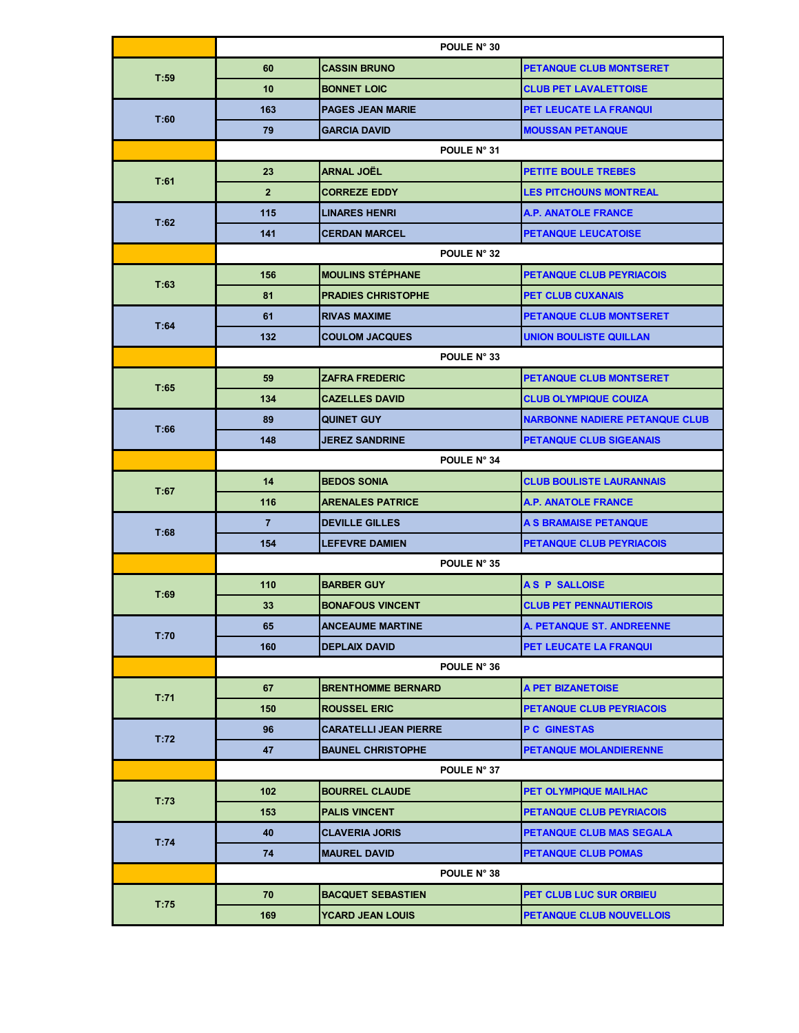|      | POULE N° 30    |                              |                                       |
|------|----------------|------------------------------|---------------------------------------|
|      | 60             | <b>CASSIN BRUNO</b>          | <b>PETANQUE CLUB MONTSERET</b>        |
| T:59 | 10             | <b>BONNET LOIC</b>           | <b>CLUB PET LAVALETTOISE</b>          |
|      | 163            | <b>PAGES JEAN MARIE</b>      | PET LEUCATE LA FRANQUI                |
| T:60 | 79             | <b>GARCIA DAVID</b>          | <b>MOUSSAN PETANQUE</b>               |
|      |                | POULE N° 31                  |                                       |
|      | 23             | <b>ARNAL JOËL</b>            | <b>PETITE BOULE TREBES</b>            |
| T:61 | $\overline{2}$ | <b>CORREZE EDDY</b>          | <b>LES PITCHOUNS MONTREAL</b>         |
|      | 115            | <b>LINARES HENRI</b>         | <b>A.P. ANATOLE FRANCE</b>            |
| T:62 | 141            | <b>CERDAN MARCEL</b>         | <b>PETANQUE LEUCATOISE</b>            |
|      |                | POULE N° 32                  |                                       |
|      | 156            | <b>MOULINS STÉPHANE</b>      | <b>PETANQUE CLUB PEYRIACOIS</b>       |
| T:63 | 81             | <b>PRADIES CHRISTOPHE</b>    | <b>PET CLUB CUXANAIS</b>              |
|      | 61             | <b>RIVAS MAXIME</b>          | <b>PETANQUE CLUB MONTSERET</b>        |
| T:64 | 132            | <b>COULOM JACQUES</b>        | <b>UNION BOULISTE QUILLAN</b>         |
|      |                | POULE N° 33                  |                                       |
|      | 59             | <b>ZAFRA FREDERIC</b>        | <b>PETANQUE CLUB MONTSERET</b>        |
| T:65 | 134            | <b>CAZELLES DAVID</b>        | <b>CLUB OLYMPIQUE COUIZA</b>          |
| T:66 | 89             | <b>QUINET GUY</b>            | <b>NARBONNE NADIERE PETANQUE CLUB</b> |
|      | 148            | <b>JEREZ SANDRINE</b>        | <b>PETANQUE CLUB SIGEANAIS</b>        |
|      | POULE N° 34    |                              |                                       |
| T:67 | 14             | <b>BEDOS SONIA</b>           | <b>CLUB BOULISTE LAURANNAIS</b>       |
|      | 116            | <b>ARENALES PATRICE</b>      | <b>A.P. ANATOLE FRANCE</b>            |
| T:68 | $\overline{7}$ | <b>DEVILLE GILLES</b>        | A S BRAMAISE PETANQUE                 |
|      | 154            | <b>LEFEVRE DAMIEN</b>        | PETANQUE CLUB PEYRIACOIS              |
|      | POULE N° 35    |                              |                                       |
| T:69 | 110            | <b>BARBER GUY</b>            | <b>AS P SALLOISE</b>                  |
|      | 33             | <b>BONAFOUS VINCENT</b>      | <b>CLUB PET PENNAUTIEROIS</b>         |
| T:70 | 65             | <b>ANCEAUME MARTINE</b>      | A. PETANQUE ST. ANDREENNE             |
|      | 160            | <b>DEPLAIX DAVID</b>         | PET LEUCATE LA FRANQUI                |
|      | POULE N° 36    |                              |                                       |
| T:71 | 67             | <b>BRENTHOMME BERNARD</b>    | A PET BIZANETOISE                     |
|      | 150            | <b>ROUSSEL ERIC</b>          | <b>PETANQUE CLUB PEYRIACOIS</b>       |
| T:72 | 96             | <b>CARATELLI JEAN PIERRE</b> | <b>PC GINESTAS</b>                    |
|      | 47             | <b>BAUNEL CHRISTOPHE</b>     | <b>PETANQUE MOLANDIERENNE</b>         |
|      |                | POULE N° 37                  |                                       |
| T:73 | 102            | <b>BOURREL CLAUDE</b>        | PET OLYMPIQUE MAILHAC                 |
|      | 153            | <b>PALIS VINCENT</b>         | <b>PETANQUE CLUB PEYRIACOIS</b>       |
| T:74 | 40             | <b>CLAVERIA JORIS</b>        | PETANQUE CLUB MAS SEGALA              |
|      | 74             | <b>MAUREL DAVID</b>          | <b>PETANQUE CLUB POMAS</b>            |
|      |                | POULE N° 38                  |                                       |
| T:75 | 70             | <b>BACQUET SEBASTIEN</b>     | PET CLUB LUC SUR ORBIEU               |
|      | 169            | <b>YCARD JEAN LOUIS</b>      | <b>PETANQUE CLUB NOUVELLOIS</b>       |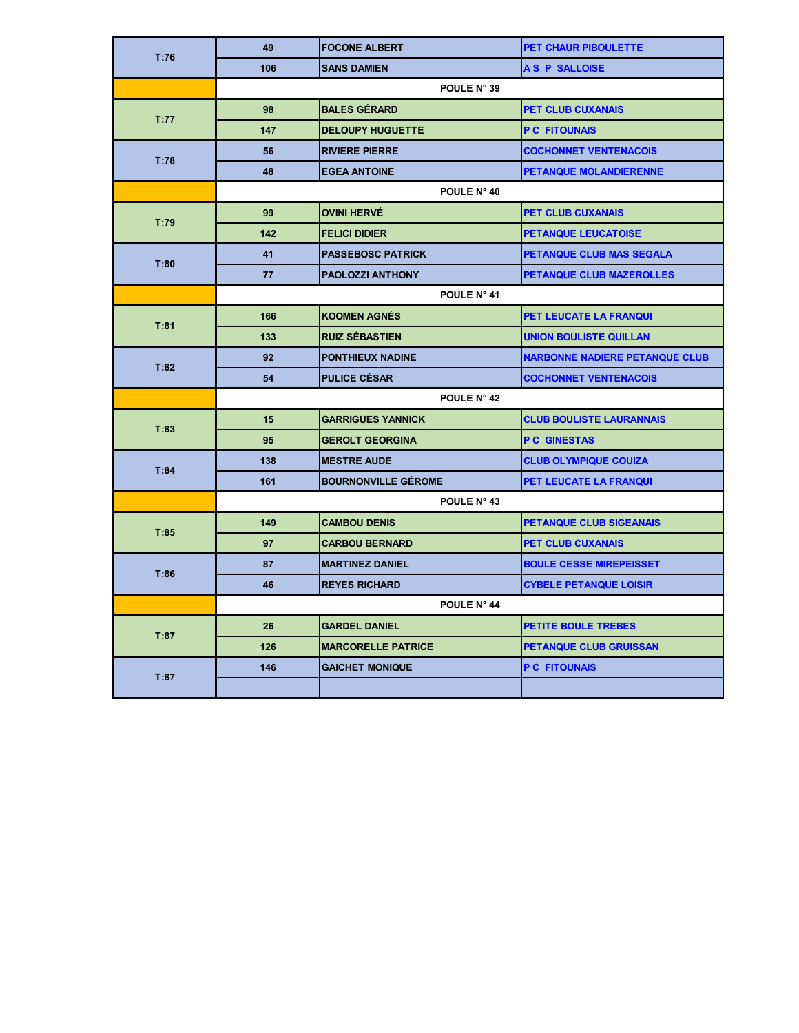| T:76 | 49          | <b>FOCONE ALBERT</b>       | <b>PET CHAUR PIBOULETTE</b>           |  |
|------|-------------|----------------------------|---------------------------------------|--|
|      | 106         | <b>SANS DAMIEN</b>         | A S P SALLOISE                        |  |
|      |             | POULE N° 39                |                                       |  |
| T:77 | 98          | <b>BALES GÉRARD</b>        | <b>PET CLUB CUXANAIS</b>              |  |
|      | 147         | <b>DELOUPY HUGUETTE</b>    | <b>P C FITOUNAIS</b>                  |  |
| T:78 | 56          | <b>RIVIERE PIERRE</b>      | <b>COCHONNET VENTENACOIS</b>          |  |
|      | 48          | <b>EGEA ANTOINE</b>        | <b>PETANQUE MOLANDIERENNE</b>         |  |
|      |             | POULE N° 40                |                                       |  |
| T:79 | 99          | <b>OVINI HERVÉ</b>         | <b>PET CLUB CUXANAIS</b>              |  |
|      | 142         | <b>FELICI DIDIER</b>       | <b>PETANQUE LEUCATOISE</b>            |  |
| T:80 | 41          | <b>PASSEBOSC PATRICK</b>   | PETANQUE CLUB MAS SEGALA              |  |
|      | 77          | <b>PAOLOZZI ANTHONY</b>    | PETANQUE CLUB MAZEROLLES              |  |
|      | POULE N° 41 |                            |                                       |  |
| T:81 | 166         | <b>KOOMEN AGNÉS</b>        | <b>PET LEUCATE LA FRANQUI</b>         |  |
|      | 133         | <b>RUIZ SÉBASTIEN</b>      | <b>UNION BOULISTE QUILLAN</b>         |  |
| T:82 | 92          | <b>PONTHIEUX NADINE</b>    | <b>NARBONNE NADIERE PETANQUE CLUB</b> |  |
|      | 54          | <b>PULICE CÉSAR</b>        | <b>COCHONNET VENTENACOIS</b>          |  |
|      | POULE N° 42 |                            |                                       |  |
| T:83 | 15          | <b>GARRIGUES YANNICK</b>   | <b>CLUB BOULISTE LAURANNAIS</b>       |  |
|      | 95          | <b>GEROLT GEORGINA</b>     | <b>PC GINESTAS</b>                    |  |
| T:84 | 138         | <b>MESTRE AUDE</b>         | <b>CLUB OLYMPIQUE COUIZA</b>          |  |
|      | 161         | <b>BOURNONVILLE GÉROME</b> | PET LEUCATE LA FRANQUI                |  |
|      | POULE N° 43 |                            |                                       |  |
| T:85 | 149         | <b>CAMBOU DENIS</b>        | <b>PETANQUE CLUB SIGEANAIS</b>        |  |
|      | 97          | <b>CARBOU BERNARD</b>      | <b>PET CLUB CUXANAIS</b>              |  |
| T:86 | 87          | <b>MARTINEZ DANIEL</b>     | <b>BOULE CESSE MIREPEISSET</b>        |  |
|      | 46          | <b>REYES RICHARD</b>       | <b>CYBELE PETANQUE LOISIR</b>         |  |
|      | POULE N° 44 |                            |                                       |  |
| T:87 | 26          | <b>GARDEL DANIEL</b>       | <b>PETITE BOULE TREBES</b>            |  |
|      | 126         | <b>MARCORELLE PATRICE</b>  | <b>PETANQUE CLUB GRUISSAN</b>         |  |
| T:87 | 146         | <b>GAICHET MONIQUE</b>     | <b>P C FITOUNAIS</b>                  |  |
|      |             |                            |                                       |  |